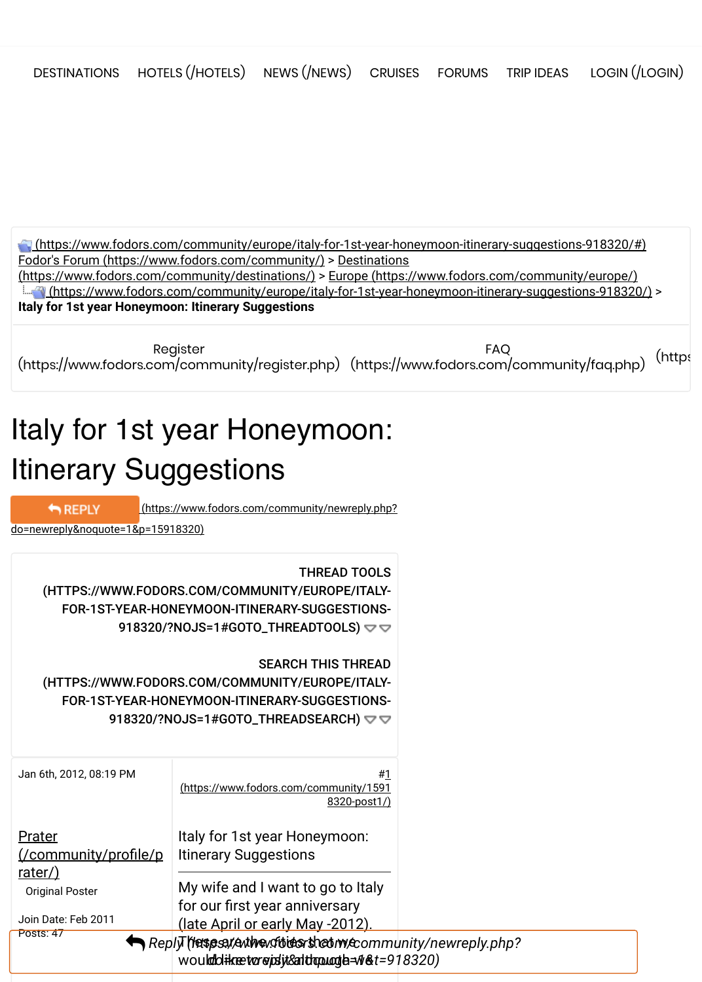[\(https://www.fodors.com/community/europe/italy-for-1st-year-honeymoon-itinerary-suggestions-918320/#\)](https://www.fodors.com/community/europe/italy-for-1st-year-honeymoon-itinerary-suggestions-918320/#) [Fodor's Forum \(https://www.fodors.com/community/](https://www.fodors.com/community/)[\)](https://www.fodors.com/community/destinations/) > Destinations (https://www.fodors.com/community/destinations/) > [Europe \(https://www.fodors.com/community/europe/\)](https://www.fodors.com/community/europe/)  [\(https://www.fodors.com/community/europe/italy-for-1st-year-honeymoon-itinerary-suggestions-918320/\)](https://www.fodors.com/community/europe/italy-for-1st-year-honeymoon-itinerary-suggestions-918320/) > **Italy for 1st year Honeymoon: Itinerary Suggestions**

Register https://www.fodors.com/community/register.php) [\(https://www.fodors.com/community/faq.php\)](https://www.fodors.com/community/faq.php) <sup>[\(https](https://www.fodors.com/community/search.php?do=getdaily)</sup> FAQ

# Italy for 1st year Honeymoon: Itinerary Suggestions

REPLY

 [\(https://www.fodors.com/community/newreply.php?](https://www.fodors.com/community/newreply.php?do=newreply&noquote=1&p=15918320)

do=newreply&noquote=1&p=15918320)

THREAD TOOLS [\(HTTPS://WWW.FODORS.COM/COMMUNITY/EUROPE/ITALY-](https://www.fodors.com/community/europe/italy-for-1st-year-honeymoon-itinerary-suggestions-918320/?nojs=1#goto_threadtools)FOR-1ST-YEAR-HONEYMOON-ITINERARY-SUGGESTIONS-918320/?NOJS=1#GOTO\_THREADTOOLS) $\blacktriangledown$ 

SEARCH THIS THREAD [\(HTTPS://WWW.FODORS.COM/COMMUNITY/EUROPE/ITALY-](https://www.fodors.com/community/europe/italy-for-1st-year-honeymoon-itinerary-suggestions-918320/?nojs=1#goto_threadsearch)FOR-1ST-YEAR-HONEYMOON-ITINERARY-SUGGESTIONS-918320/?NOJS=1#GOTO\_THREADSEARCH)  $\triangledown$ 

| Jan 6th, 2012, 08:19 PM                                  | #1<br>(https://www.fodors.com/community/1591<br>8320-post1/)                                                   |  |
|----------------------------------------------------------|----------------------------------------------------------------------------------------------------------------|--|
| Prater<br><u>(/community/profile/p</u>                   | Italy for 1st year Honeymoon:<br><b>Itinerary Suggestions</b>                                                  |  |
| rater/)<br><b>Original Poster</b><br>Join Date: Feb 2011 | My wife and I want to go to Italy<br>for our first year anniversary<br>(late April or early May -2012).        |  |
| Posts: 47                                                | ReplyThespsated the distribution state mean munity/newreply.php?<br>woulddikætørejsijt&althopuogla=N&t=918320) |  |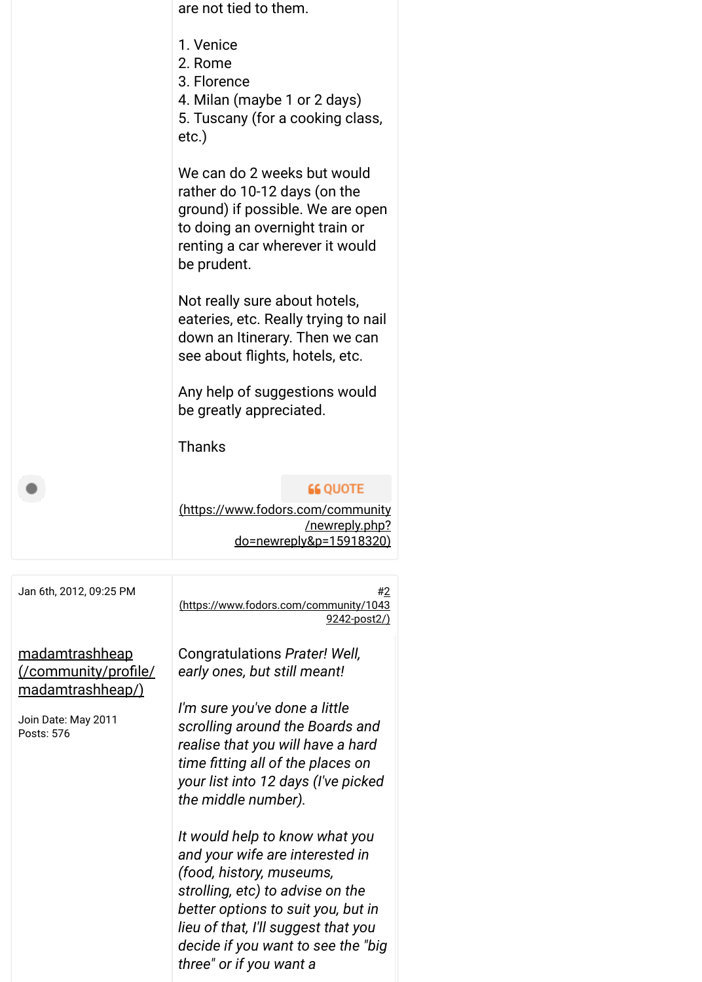| are not tied to them.                                                                                                                                                               |
|-------------------------------------------------------------------------------------------------------------------------------------------------------------------------------------|
| 1. Venice<br>2. Rome<br>3. Florence<br>4. Milan (maybe 1 or 2 days)<br>5. Tuscany (for a cooking class,<br>etc.)                                                                    |
| We can do 2 weeks but would<br>rather do 10-12 days (on the<br>ground) if possible. We are open<br>to doing an overnight train or<br>renting a car wherever it would<br>be prudent. |
| Not really sure about hotels,<br>eateries, etc. Really trying to nail<br>down an Itinerary. Then we can<br>see about flights, hotels, etc.                                          |
| Any help of suggestions would<br>be greatly appreciated.                                                                                                                            |
| <b>Thanks</b>                                                                                                                                                                       |
| <b>66 QUOTE</b><br>(https://www.fodors.com/community<br>/newreply.php?<br>do=newreply&p=15918320)                                                                                   |

| Jan 6th, 2012, 09:25 PM                                                  | #2<br>https://www.fodors.com/community/1043<br>9242-post2/)                                                                                                             |
|--------------------------------------------------------------------------|-------------------------------------------------------------------------------------------------------------------------------------------------------------------------|
| <u>madamtrashheap</u><br>(/community/profile/<br><u>madamtrashheap/)</u> | Congratulations Prater! Well,<br>early ones, but still meant!<br>I'm sure you've done a little                                                                          |
| Join Date: May 2011<br>Posts: 576                                        | scrolling around the Boards and<br>realise that you will have a hard<br>time fitting all of the places on<br>your list into 12 days (I've picked<br>the middle number). |
|                                                                          | It would help to know what you<br>and your wife are interested in<br>(food, history, museums,<br>strolling, etc) to advise on the<br>better options to suit you, but in |

*It would help to know what you and your wife are interested in (food, history, museums, strolling, etc) to advise on the better options to suit you, but in lieu of that, I'll suggest that you decide if you want to see the "big three" or if you want a*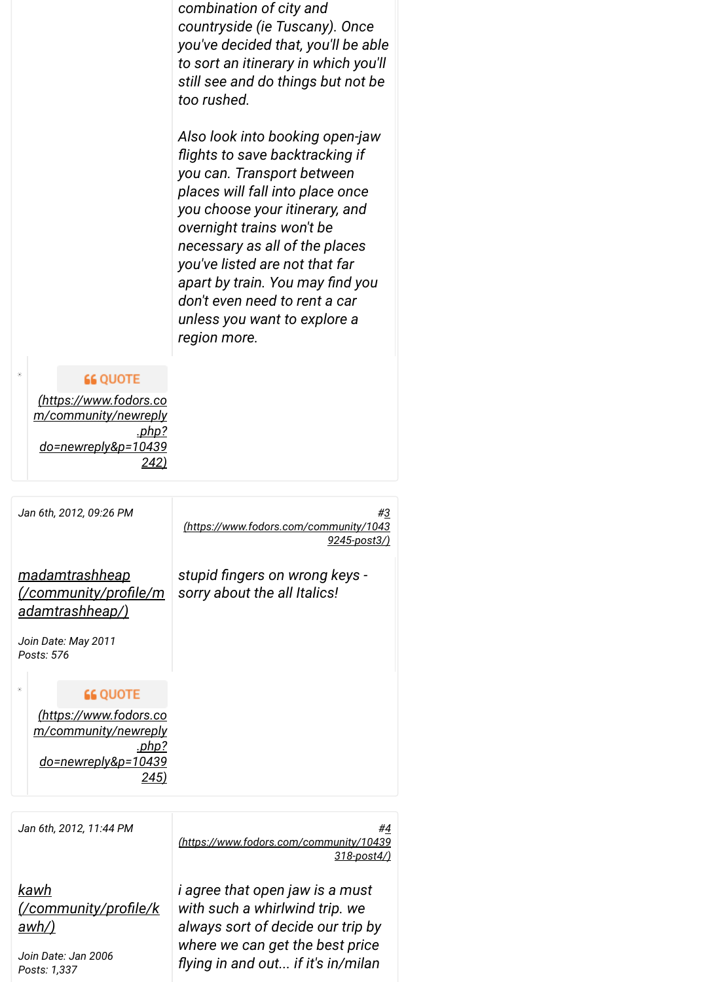*combination of city and countryside (ie Tuscany). Once you've decided that, you'll be able to sort an itinerary in which you'll still see and do things but not be too rushed.* 

*Also look into booking open-jaw* flights to save backtracking if *you can. Transport between places will fall into place once you choose your itinerary, and overnight trains won't be necessary as all of the places you've listed are not that far* apart by train. You may find you *don't even need to rent a car unless you want to explore a region more.*

# **66 QUOTE**

*(https://www.fodors.co [m/community/newreply](https://www.fodors.com/community/newreply.php?do=newreply&p=10439242) .php? do=newreply&p=10439 242)*

*Jan 6th, 2012, 09:26 PM [#3](https://www.fodors.com/community/10439245-post3/) (https://www.fodors.com/community/1043 9245-post3/) madamtrashheap* stupid fingers on wrong keys -*[\(/community/proNle/m](https://www.fodors.com/community/profile/madamtrashheap/) sorry about the all Italics! adamtrashheap/) Join Date: May 2011 Posts: 576* **66 QUOTE** *(https://www.fodors.co [m/community/newreply](https://www.fodors.com/community/newreply.php?do=newreply&p=10439245) .php? do=newreply&p=10439 245)*

*Jan 6th, 2012, 11:44 PM [#4](https://www.fodors.com/community/10439318-post4/) (https://www.fodors.com/community/10439 318-post4/)*

*kawh [\(/community/proNle/k](https://www.fodors.com/community/profile/kawh/) awh/)*

*Join Date: Jan 2006 Posts: 1,337*

*i agree that open jaw is a must with such a whirlwind trip. we always sort of decide our trip by where we can get the best price Vying in and out... if it's in/milan*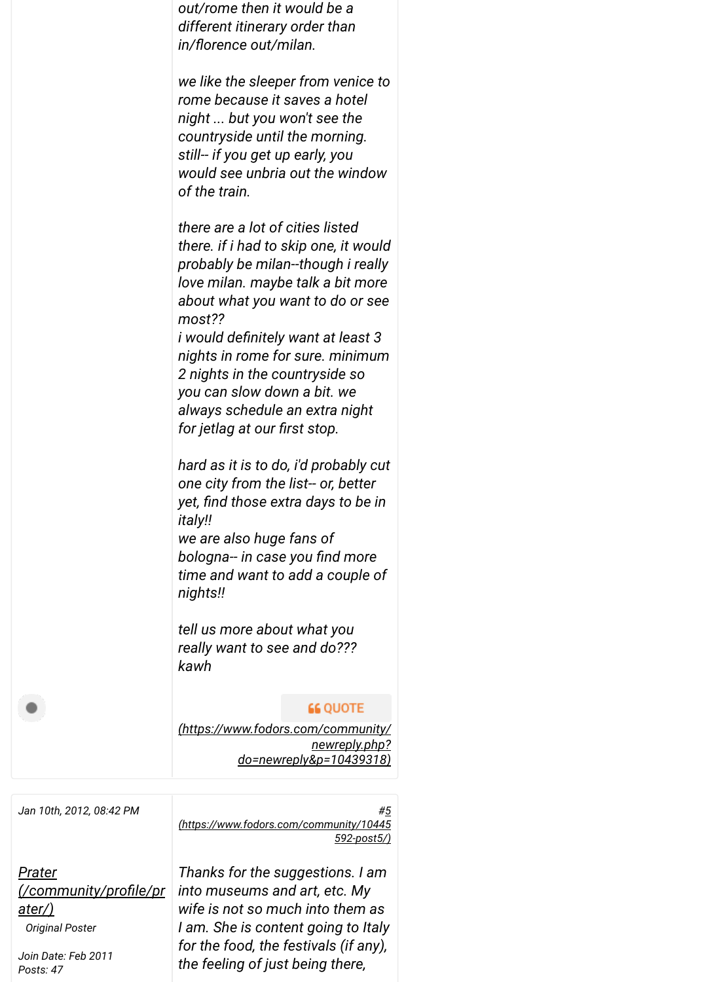

*Jan 10th, 2012, 08:42 PM [#5](https://www.fodors.com/community/10445592-post5/)*

*Prater [\(/community/proNle/pr](https://www.fodors.com/community/profile/prater/) ater/) Original Poster*

*Join Date: Feb 2011 Posts: 47*

*Thanks for the suggestions. I am into museums and art, etc. My wife is not so much into them as I am. She is content going to Italy for the food, the festivals (if any), the feeling of just being there,*

*(https://www.fodors.com/community/10445*

*592-post5/)*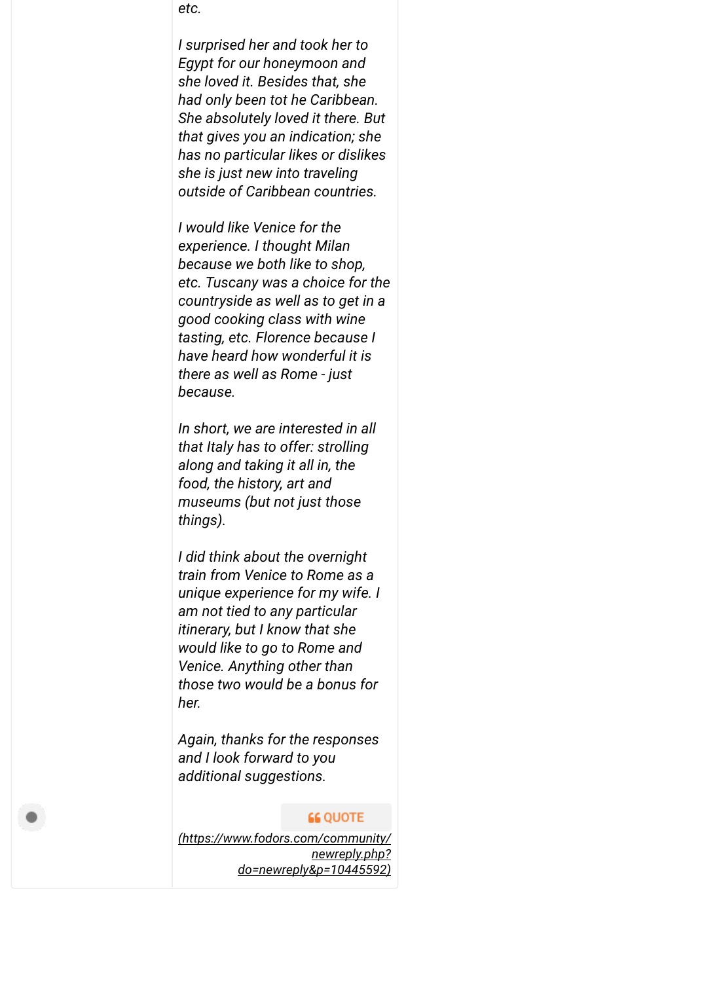*etc.* 

*I surprised her and took her to Egypt for our honeymoon and she loved it. Besides that, she had only been tot he Caribbean. She absolutely loved it there. But that gives you an indication; she has no particular likes or dislikes she is just new into traveling outside of Caribbean countries.*

*I would like Venice for the experience. I thought Milan because we both like to shop, etc. Tuscany was a choice for the countryside as well as to get in a good cooking class with wine tasting, etc. Florence because I have heard how wonderful it is there as well as Rome - just because.* 

*In short, we are interested in all that Italy has to offer: strolling along and taking it all in, the food, the history, art and museums (but not just those things).* 

*I did think about the overnight train from Venice to Rome as a unique experience for my wife. I am not tied to any particular itinerary, but I know that she would like to go to Rome and Venice. Anything other than those two would be a bonus for her.* 

*Again, thanks for the responses and I look forward to you additional suggestions.*

#### **66 QUOTE**

*[\(https://www.fodors.com/community/](https://www.fodors.com/community/newreply.php?do=newreply&p=10445592) newreply.php? do=newreply&p=10445592)*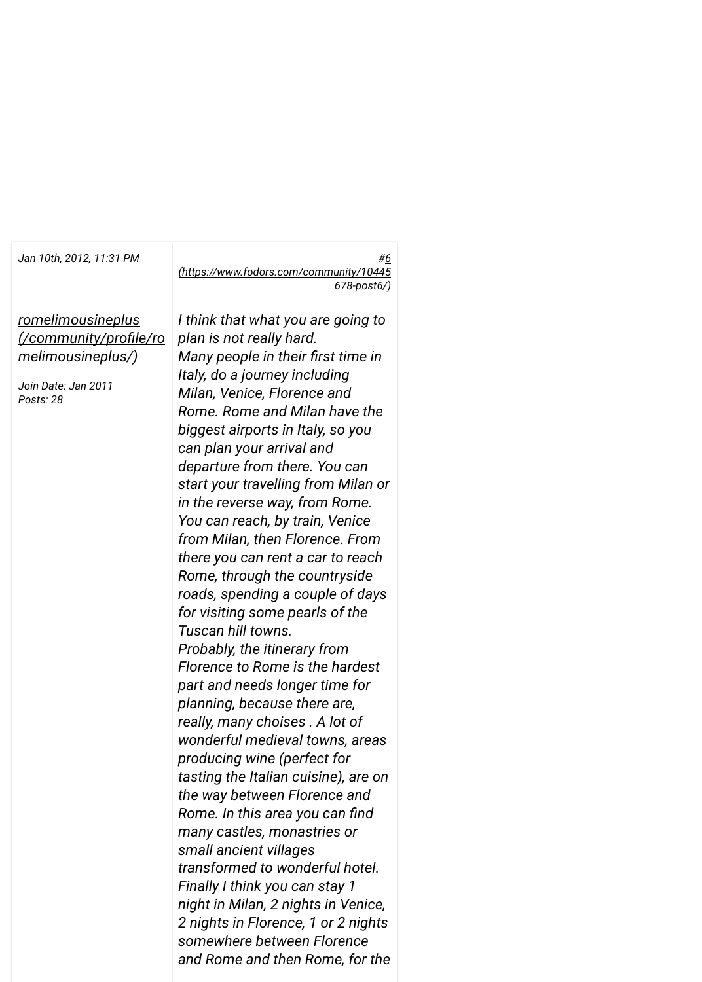*romelimousineplus [\(/community/proNle/ro](https://www.fodors.com/community/profile/romelimousineplus/) melimousineplus/)*

*Join Date: Jan 2011 Posts: 28*

*Jan 10th, 2012, 11:31 PM [#6](https://www.fodors.com/community/10445678-post6/) (https://www.fodors.com/community/10445 678-post6/)*

> *I think that what you are going to plan is not really hard. Many people in their first time in Italy, do a journey including Milan, Venice, Florence and Rome. Rome and Milan have the biggest airports in Italy, so you can plan your arrival and departure from there. You can start your travelling from Milan or in the reverse way, from Rome. You can reach, by train, Venice from Milan, then Florence. From there you can rent a car to reach Rome, through the countryside roads, spending a couple of days for visiting some pearls of the Tuscan hill towns. Probably, the itinerary from Florence to Rome is the hardest part and needs longer time for planning, because there are, really, many choises . A lot of wonderful medieval towns, areas producing wine (perfect for tasting the Italian cuisine), are on the way between Florence and Rome. In this area you can find many castles, monastries or small ancient villages transformed to wonderful hotel. Finally I think you can stay 1 night in Milan, 2 nights in Venice, 2 nights in Florence, 1 or 2 nights somewhere between Florence and Rome and then Rome, for the*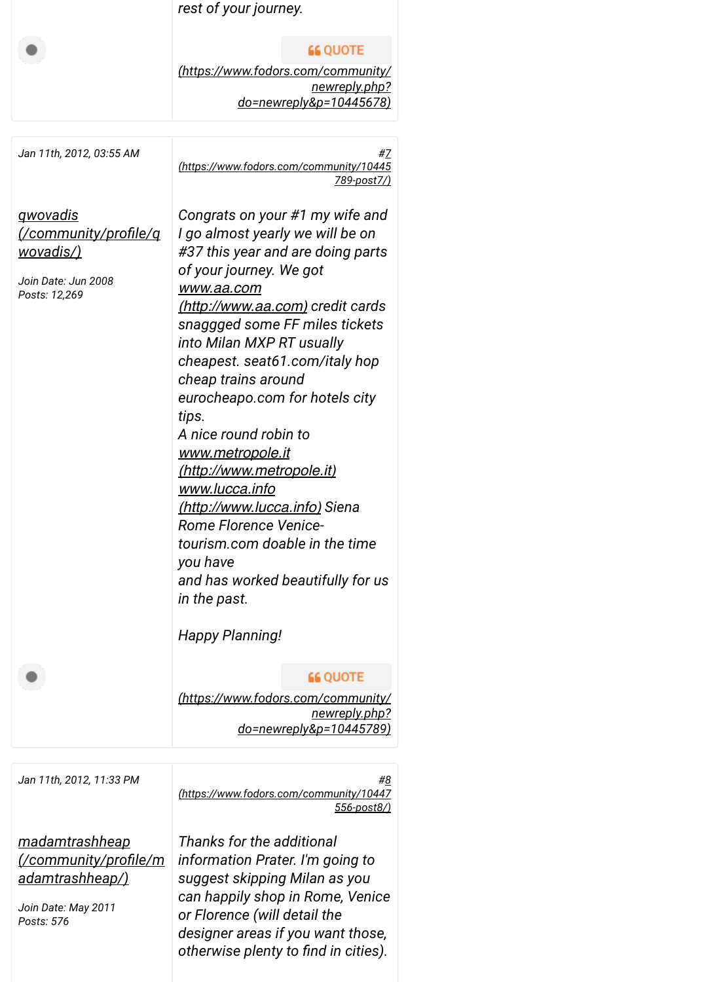|  | rest of your journey. |  |
|--|-----------------------|--|
|  |                       |  |

## **66 QUOTE**

*[\(https://www.fodors.com/community/](https://www.fodors.com/community/newreply.php?do=newreply&p=10445678) newreply.php? do=newreply&p=10445678)*

| Jan 11th, 2012, 03:55 AM                                                    | #7<br>(https://www.fodors.com/community/10445<br><u>789-post7/)</u>                                                                                                                                                                                                                                                                                                                                                                                                                                                                                                                                                                                                            |
|-----------------------------------------------------------------------------|--------------------------------------------------------------------------------------------------------------------------------------------------------------------------------------------------------------------------------------------------------------------------------------------------------------------------------------------------------------------------------------------------------------------------------------------------------------------------------------------------------------------------------------------------------------------------------------------------------------------------------------------------------------------------------|
| <u>qwovadis</u><br><u>wovadis/)</u><br>Join Date: Jun 2008<br>Posts: 12,269 | Congrats on your #1 my wife and<br>I go almost yearly we will be on<br>#37 this year and are doing parts<br>of your journey. We got<br>www.aa.com<br><u>(http://www.aa.com)</u> credit cards<br>snaggged some FF miles tickets<br>into Milan MXP RT usually<br>cheapest. seat61.com/italy hop<br>cheap trains around<br>eurocheapo.com for hotels city<br>tips.<br>A nice round robin to<br><u>www.metropole.it</u><br><u>(http://www.metropole.it)</u><br><u>www.lucca.info</u><br><u>(http://www.lucca.info)</u> Siena<br><b>Rome Florence Venice-</b><br>tourism.com doable in the time<br>you have<br>and has worked beautifully for us<br>in the past.<br>Happy Planning! |
|                                                                             | <b>66 QUOTE</b><br>(https://www.fodors.com/community/<br><u>newreply.php?</u><br><u>do=newreply&amp;p=10445789)</u>                                                                                                                                                                                                                                                                                                                                                                                                                                                                                                                                                            |
| Jan 11th, 2012, 11:33 PM                                                    | #8<br>(https://www.fodors.com/community/10447<br><u>556-post8/)</u>                                                                                                                                                                                                                                                                                                                                                                                                                                                                                                                                                                                                            |

*madamtrashheap [\(/community/proNle/m](https://www.fodors.com/community/profile/madamtrashheap/) adamtrashheap/)*

*Join Date: May 2011 Posts: 576*

*Thanks for the additional information Prater. I'm going to suggest skipping Milan as you can happily shop in Rome, Venice or Florence (will detail the designer areas if you want those, otherwise plenty to find in cities).*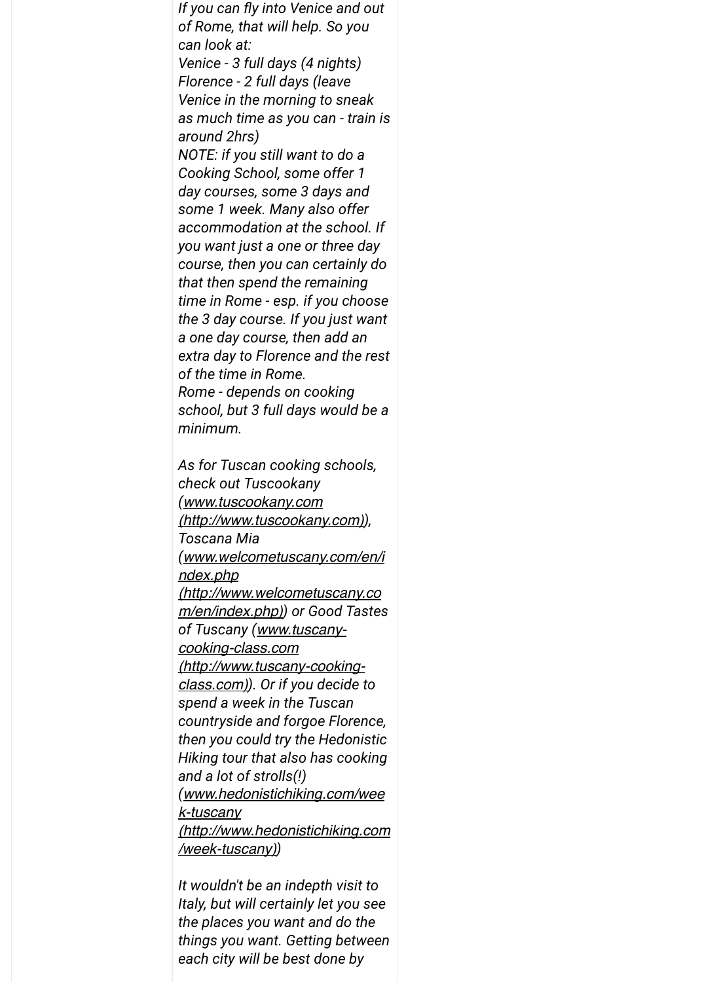*If you can fly into Venice and out of Rome, that will help. So you can look at: Venice - 3 full days (4 nights) Florence - 2 full days (leave Venice in the morning to sneak as much time as you can - train is around 2hrs) NOTE: if you still want to do a Cooking School, some offer 1 day courses, some 3 days and some 1 week. Many also offer accommodation at the school. If you want just a one or three day course, then you can certainly do that then spend the remaining time in Rome - esp. if you choose the 3 day course. If you just want a one day course, then add an extra day to Florence and the rest of the time in Rome. Rome - depends on cooking school, but 3 full days would be a minimum.*

*As for Tuscan cooking schools, check out Tuscookany (www.tuscookany.com [\(http://www.tuscookany.com\)](http://www.tuscookany.com/)), Toscana Mia (www.welcometuscany.com/en/i ndex.php [\(http://www.welcometuscany.co](http://www.welcometuscany.com/en/index.php) m/en/index.php)) or Good Tastes of Tuscany (www.tuscanycooking-class.com [\(http://www.tuscany-cooking](http://www.tuscany-cooking-class.com/)class.com)). Or if you decide to spend a week in the Tuscan countryside and forgoe Florence, then you could try the Hedonistic Hiking tour that also has cooking and a lot of strolls(!) (www.hedonistichiking.com/wee k-tuscany [\(http://www.hedonistichiking.com](http://www.hedonistichiking.com/week-tuscany) /week-tuscany))*

*It wouldn't be an indepth visit to Italy, but will certainly let you see the places you want and do the things you want. Getting between each city will be best done by*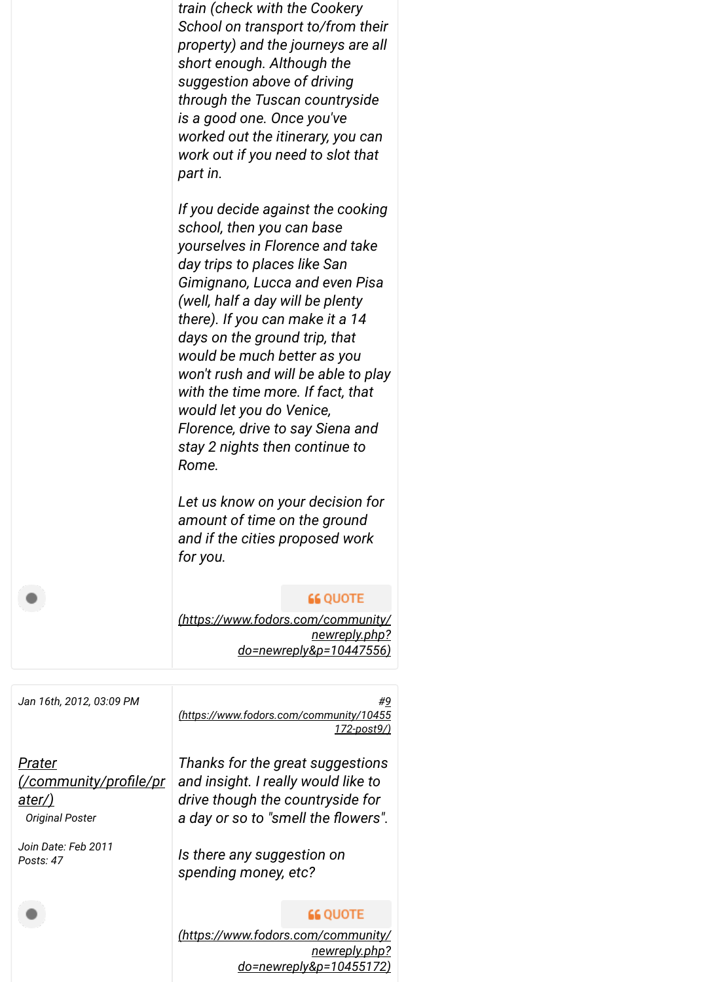*train (check with the Cookery School on transport to/from their property) and the journeys are all short enough. Although the suggestion above of driving through the Tuscan countryside is a good one. Once you've worked out the itinerary, you can work out if you need to slot that part in.* 

*If you decide against the cooking school, then you can base yourselves in Florence and take day trips to places like San Gimignano, Lucca and even Pisa (well, half a day will be plenty there). If you can make it a 14 days on the ground trip, that would be much better as you won't rush and will be able to play with the time more. If fact, that would let you do Venice, Florence, drive to say Siena and stay 2 nights then continue to Rome.*

*Let us know on your decision for amount of time on the ground and if the cities proposed work for you.*

#### **66 QUOTE**

*[\(https://www.fodors.com/community/](https://www.fodors.com/community/newreply.php?do=newreply&p=10447556) newreply.php? do=newreply&p=10447556)*

*Jan 16th, 2012, 03:09 PM [#9](https://www.fodors.com/community/10455172-post9/) (https://www.fodors.com/community/10455 172-post9/)*

*Prater [\(/community/proNle/pr](https://www.fodors.com/community/profile/prater/) ater/) Original Poster*

*Join Date: Feb 2011 Posts: 47*

*Thanks for the great suggestions and insight. I really would like to drive though the countryside for* a day or so to "smell the flowers".

*Is there any suggestion on spending money, etc?*

# **66 QUOTE**

*[\(https://www.fodors.com/community/](https://www.fodors.com/community/newreply.php?do=newreply&p=10455172) newreply.php? do=newreply&p=10455172)*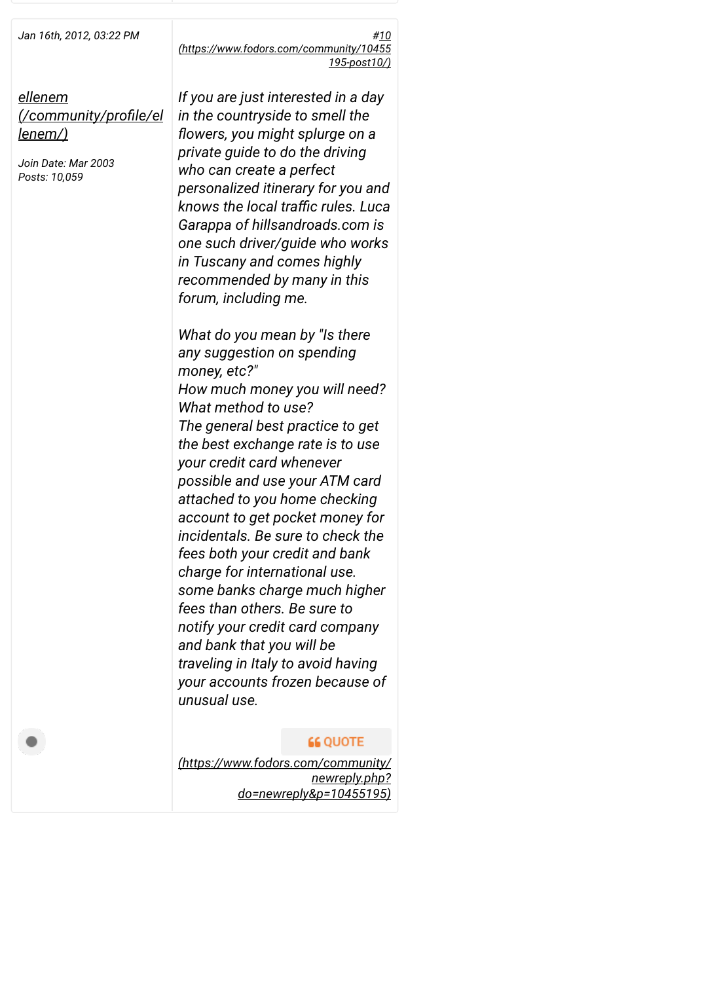*Jan 16th, 2012, 03:22 PM [#10](https://www.fodors.com/community/10455195-post10/) (https://www.fodors.com/community/10455 195-post10/)*

*ellenem [\(/community/proNle/el](https://www.fodors.com/community/profile/ellenem/) lenem/)*

*Join Date: Mar 2003 Posts: 10,059*

*If you are just interested in a day in the countryside to smell the flowers, you might splurge on a private guide to do the driving who can create a perfect personalized itinerary for you and knows the local tramc rules. Luca Garappa of hillsandroads.com is one such driver/guide who works in Tuscany and comes highly recommended by many in this forum, including me.*

*What do you mean by "Is there any suggestion on spending money, etc?" How much money you will need? What method to use? The general best practice to get the best exchange rate is to use your credit card whenever possible and use your ATM card attached to you home checking account to get pocket money for incidentals. Be sure to check the fees both your credit and bank charge for international use. some banks charge much higher fees than others. Be sure to notify your credit card company and bank that you will be traveling in Italy to avoid having your accounts frozen because of unusual use.*

# **66 QUOTE**

*[\(https://www.fodors.com/community/](https://www.fodors.com/community/newreply.php?do=newreply&p=10455195) newreply.php? do=newreply&p=10455195)*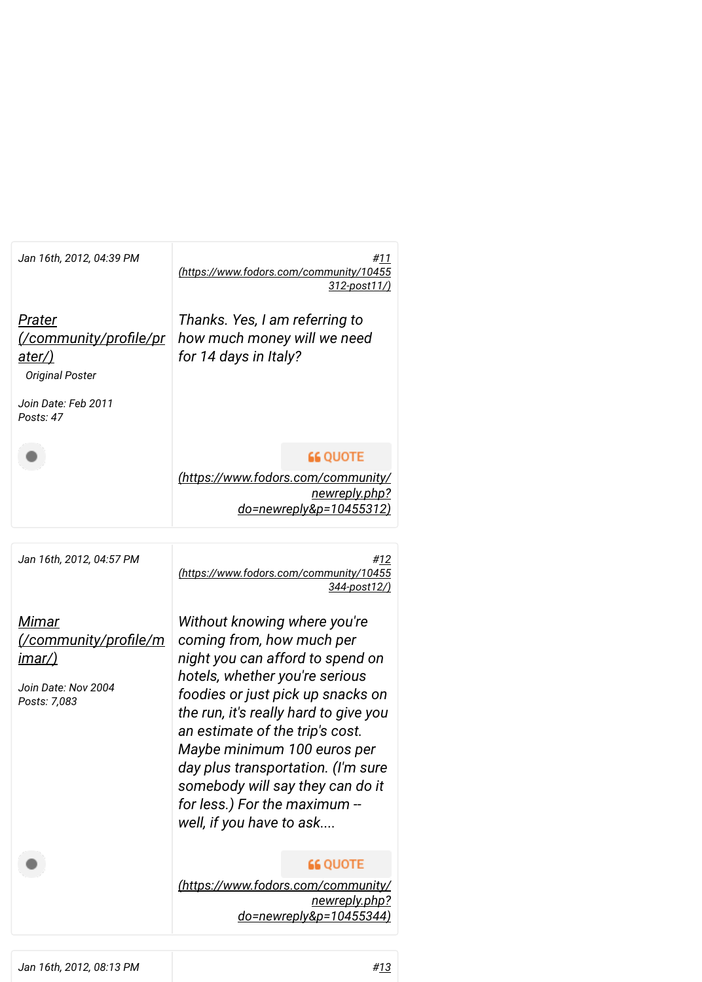| Jan 16th, 2012, 04:39 PM                                                                     | #11<br>(https://www.fodors.com/community/10455<br>$312$ -post $11$ /)                                                                                                                                                                                                                                                                                                                                                  |
|----------------------------------------------------------------------------------------------|------------------------------------------------------------------------------------------------------------------------------------------------------------------------------------------------------------------------------------------------------------------------------------------------------------------------------------------------------------------------------------------------------------------------|
| Prater<br><u>ater/)</u><br><b>Original Poster</b><br>Join Date: Feb 2011<br>Posts: 47        | Thanks. Yes, I am referring to<br>how much money will we need<br>for 14 days in Italy?                                                                                                                                                                                                                                                                                                                                 |
|                                                                                              | <b>66 QUOTE</b><br>(https://www.fodors.com/community/<br>newreply.php?<br>do=newreply&p=10455312)                                                                                                                                                                                                                                                                                                                      |
| Jan 16th, 2012, 04:57 PM                                                                     | #12<br>(https://www.fodors.com/community/10455<br>344-post12/)                                                                                                                                                                                                                                                                                                                                                         |
| Mimar<br><u>/community/profile/m</u><br><u>imar/)</u><br>Join Date: Nov 2004<br>Posts: 7,083 | Without knowing where you're<br>coming from, how much per<br>night you can afford to spend on<br>hotels, whether you're serious<br>foodies or just pick up snacks on<br>the run, it's really hard to give you<br>an estimate of the trip's cost.<br>Maybe minimum 100 euros per<br>day plus transportation. (I'm sure<br>somebody will say they can do it<br>for less.) For the maximum --<br>well, if you have to ask |
|                                                                                              | <b>66 QUOTE</b><br>(https://www.fodors.com/community/<br><u>newreply.php?</u><br><u>do=newreply&amp;p=10455344)</u>                                                                                                                                                                                                                                                                                                    |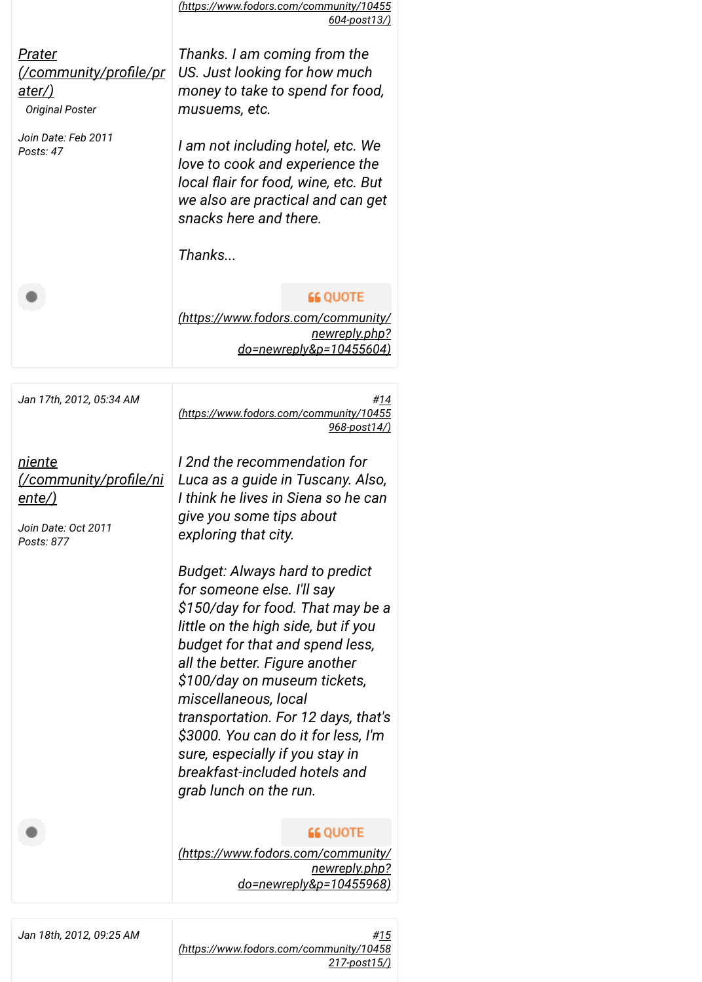|                                                                     | (https://www.fodors.com/community/10455                                                                                                                                                                                                                                                                                                      |  |
|---------------------------------------------------------------------|----------------------------------------------------------------------------------------------------------------------------------------------------------------------------------------------------------------------------------------------------------------------------------------------------------------------------------------------|--|
|                                                                     | 604-post13/)                                                                                                                                                                                                                                                                                                                                 |  |
| Prater<br><u>ater/)</u>                                             | Thanks. I am coming from the<br>US. Just looking for how much<br>money to take to spend for food,                                                                                                                                                                                                                                            |  |
| <b>Original Poster</b>                                              | musuems, etc.                                                                                                                                                                                                                                                                                                                                |  |
| Join Date: Feb 2011<br>Posts: 47                                    | I am not including hotel, etc. We<br>love to cook and experience the<br>local flair for food, wine, etc. But<br>we also are practical and can get<br>snacks here and there.                                                                                                                                                                  |  |
|                                                                     | Thanks                                                                                                                                                                                                                                                                                                                                       |  |
|                                                                     | <b>66 QUOTE</b>                                                                                                                                                                                                                                                                                                                              |  |
|                                                                     | (https://www.fodors.com/community/<br><u>newreply.php?</u><br>do=newreply&p=10455604)                                                                                                                                                                                                                                                        |  |
|                                                                     |                                                                                                                                                                                                                                                                                                                                              |  |
| Jan 17th, 2012, 05:34 AM                                            | <u>#14</u><br>(https://www.fodors.com/community/10455<br><u>968-post14/)</u>                                                                                                                                                                                                                                                                 |  |
| <u>niente</u><br><u>ente/)</u><br>Join Date: Oct 2011<br>Posts: 877 | I 2nd the recommendation for<br>Luca as a guide in Tuscany. Also,<br>I think he lives in Siena so he can<br>give you some tips about<br>exploring that city.<br>Budget: Always hard to predict<br>for someone else. I'll say<br>\$150/day for food. That may be a                                                                            |  |
|                                                                     | little on the high side, but if you<br>budget for that and spend less,<br>all the better. Figure another<br>\$100/day on museum tickets,<br>miscellaneous, local<br>transportation. For 12 days, that's<br>\$3000. You can do it for less, I'm<br>sure, especially if you stay in<br>breakfast-included hotels and<br>grab lunch on the run. |  |
|                                                                     | <b>66 QUOTE</b><br>(https://www.fodors.com/community/<br>newreply.php?<br>do=newreply&p=10455968)                                                                                                                                                                                                                                            |  |
| Jan 18th, 2012, 09:25 AM                                            | #15                                                                                                                                                                                                                                                                                                                                          |  |

*(https://www.fodors.com/community/10458*

*217-post15/)*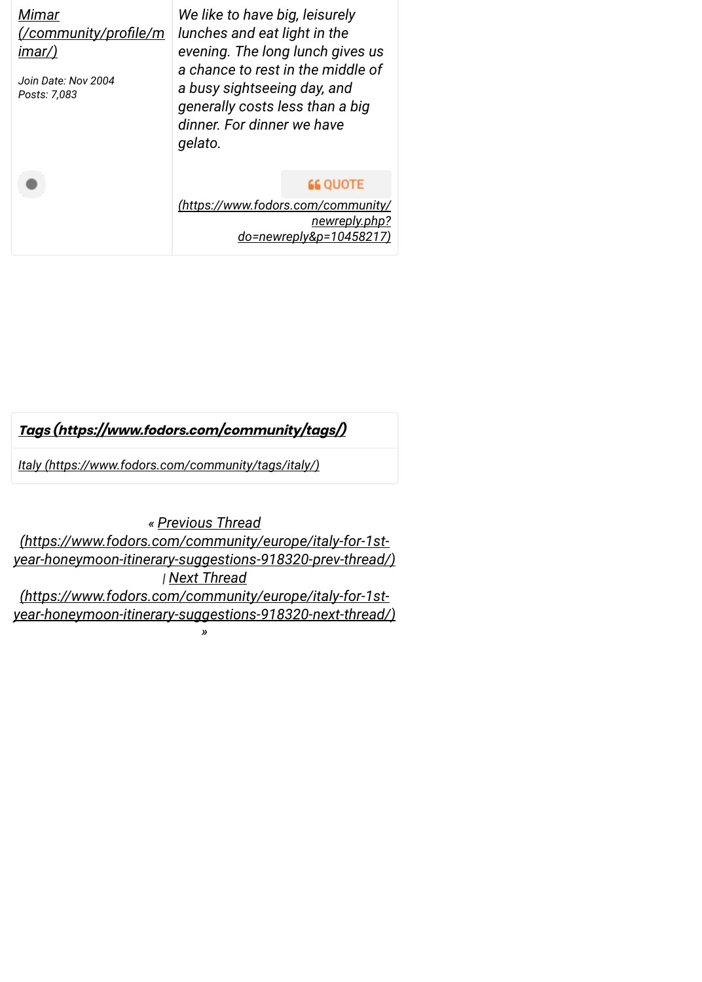| Mimar<br><u>(/community/profile/m</u><br>imar/)<br>Join Date: Nov 2004<br>Posts: 7,083 | We like to have big, leisurely<br>lunches and eat light in the<br>evening. The long lunch gives us<br>a chance to rest in the middle of<br>a busy sightseeing day, and<br>generally costs less than a big<br>dinner. For dinner we have<br>gelato. |  |
|----------------------------------------------------------------------------------------|----------------------------------------------------------------------------------------------------------------------------------------------------------------------------------------------------------------------------------------------------|--|
|                                                                                        | <b>66 QUOTE</b><br>(https://www.fodors.com/community/<br><u>newreply.php?</u><br>$do$ =newreply&p=1045821                                                                                                                                          |  |

# **[Tags \(https://www.fodors.com/community/tags/\)](https://www.fodors.com/community/tags/)**

*[Italy \(https://www.fodors.com/community/tags/italy/\)](https://www.fodors.com/community/tags/italy/)*

*« Previous Thread (https://www.fodors.com/community/europe/italy-for-1st[year-honeymoon-itinerary-suggestions-918320-prev-thread/\)](https://www.fodors.com/community/europe/italy-for-1st-year-honeymoon-itinerary-suggestions-918320-prev-thread/) | Next Thread (https://www.fodors.com/community/europe/italy-for-1st[year-honeymoon-itinerary-suggestions-918320-next-thread/\)](https://www.fodors.com/community/europe/italy-for-1st-year-honeymoon-itinerary-suggestions-918320-next-thread/) »*